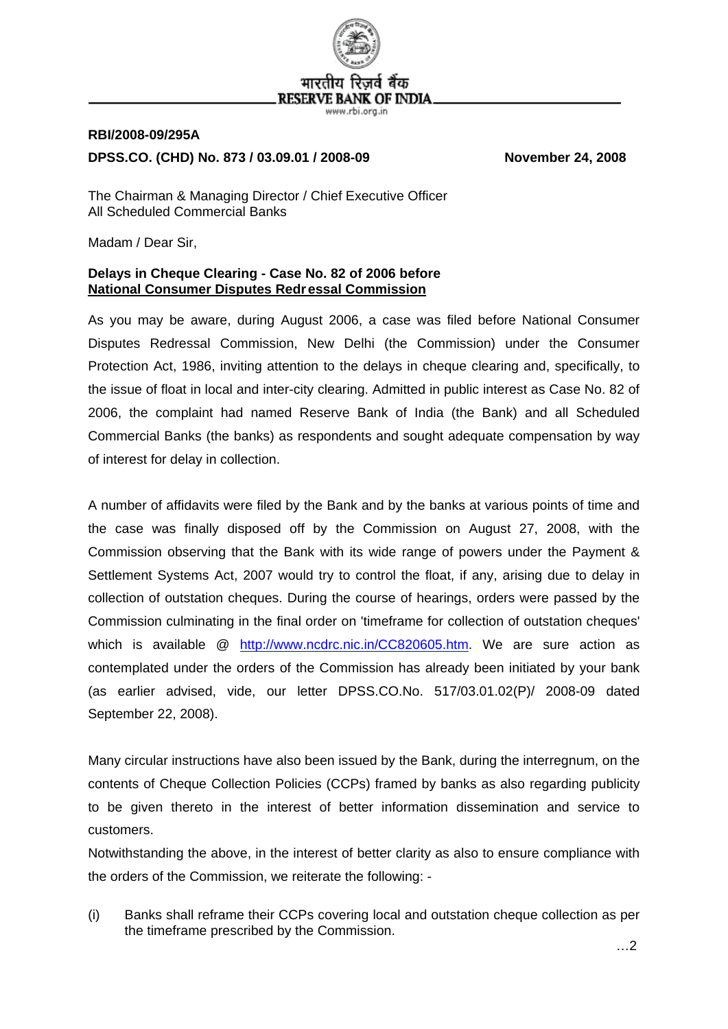

## **RBI/2008-09/295A DPSS.CO. (CHD) No. 873 / 03.09.01 / 2008-09 November 24, 2008**

The Chairman & Managing Director / Chief Executive Officer All Scheduled Commercial Banks

Madam / Dear Sir,

## **Delays in Cheque Clearing - Case No. 82 of 2006 before National Consumer Disputes Redr essal Commission**

As you may be aware, during August 2006, a case was filed before National Consumer Disputes Redressal Commission, New Delhi (the Commission) under the Consumer Protection Act, 1986, inviting attention to the delays in cheque clearing and, specifically, to the issue of float in local and inter-city clearing. Admitted in public interest as Case No. 82 of 2006, the complaint had named Reserve Bank of India (the Bank) and all Scheduled Commercial Banks (the banks) as respondents and sought adequate compensation by way of interest for delay in collection.

A number of affidavits were filed by the Bank and by the banks at various points of time and the case was finally disposed off by the Commission on August 27, 2008, with the Commission observing that the Bank with its wide range of powers under the Payment & Settlement Systems Act, 2007 would try to control the float, if any, arising due to delay in collection of outstation cheques. During the course of hearings, orders were passed by the Commission culminating in the final order on 'timeframe for collection of outstation cheques' which is available @ <http://www.ncdrc.nic.in/CC820605.htm>. We are sure action as contemplated under the orders of the Commission has already been initiated by your bank (as earlier advised, vide, our letter DPSS.CO.No. 517/03.01.02(P)/ 2008-09 dated September 22, 2008).

Many circular instructions have also been issued by the Bank, during the interregnum, on the contents of Cheque Collection Policies (CCPs) framed by banks as also regarding publicity to be given thereto in the interest of better information dissemination and service to customers.

Notwithstanding the above, in the interest of better clarity as also to ensure compliance with the orders of the Commission, we reiterate the following: -

(i) Banks shall reframe their CCPs covering local and outstation cheque collection as per the timeframe prescribed by the Commission.